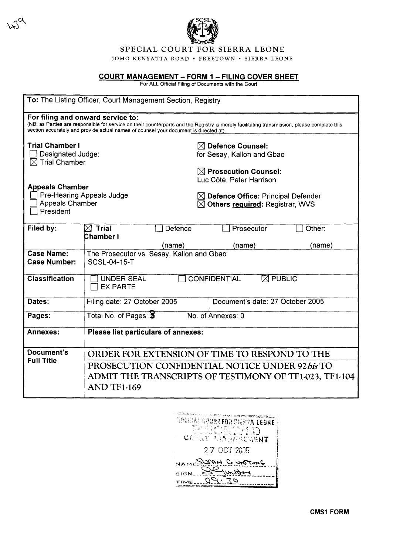

# SPECIAL COURT FOR SIERRA LEONE

JOMO KENYATTA ROAD • FREETOWN • SIERRA LEONE

## <u>COURT MANAGEMENT – FORM 1 – FILING COVER SHEET</u>

For ALL Official Filing of Documents with the Court

| To: The Listing Officer, Court Management Section, Registry                                                                                                                                                                                                                |                                                                                                                  |  |
|----------------------------------------------------------------------------------------------------------------------------------------------------------------------------------------------------------------------------------------------------------------------------|------------------------------------------------------------------------------------------------------------------|--|
| For filing and onward service to:<br>(NB: as Parties are responsible for service on their counterparts and the Registry is merely facilitating transmission, please complete this<br>section accurately and provide actual names of counsel your document is directed at). |                                                                                                                  |  |
| <b>Trial Chamber I</b><br>Designated Judge:<br>$\boxtimes$ Trial Chamber                                                                                                                                                                                                   | $\boxtimes$ Defence Counsel:<br>for Sesay, Kallon and Gbao                                                       |  |
|                                                                                                                                                                                                                                                                            | $\boxtimes$ Prosecution Counsel:<br>Luc Côté, Peter Harrison                                                     |  |
| <b>Appeals Chamber</b><br><b>Appeals Chamber</b><br>President                                                                                                                                                                                                              | Pre-Hearing Appeals Judge<br>$\boxtimes$ Defence Office: Principal Defender<br>⊠ Others required: Registrar, WVS |  |
| Filed by:                                                                                                                                                                                                                                                                  | $\boxtimes$ Trial<br>Defence<br>Prosecutor<br>Other:<br>Chamber I                                                |  |
|                                                                                                                                                                                                                                                                            | (name)<br>(name)<br>(name)                                                                                       |  |
| <b>Case Name:</b><br><b>Case Number:</b>                                                                                                                                                                                                                                   | The Prosecutor vs. Sesay, Kallon and Gbao<br><b>SCSL-04-15-T</b>                                                 |  |
| <b>Classification</b>                                                                                                                                                                                                                                                      | <b>CONFIDENTIAL</b><br>$\boxtimes$ PUBLIC<br><b>UNDER SEAL</b><br><b>EX PARTE</b>                                |  |
| Dates:                                                                                                                                                                                                                                                                     | Filing date: 27 October 2005<br>Document's date: 27 October 2005                                                 |  |
| Pages:                                                                                                                                                                                                                                                                     | Total No. of Pages: 3<br>No. of Annexes: 0                                                                       |  |
| Annexes:                                                                                                                                                                                                                                                                   | Please list particulars of annexes:                                                                              |  |
| Document's<br><b>Full Title</b>                                                                                                                                                                                                                                            | ORDER FOR EXTENSION OF TIME TO RESPOND TO THE                                                                    |  |
|                                                                                                                                                                                                                                                                            | PROSECUTION CONFIDENTIAL NOTICE UNDER 92 bis TO                                                                  |  |
|                                                                                                                                                                                                                                                                            | ADMIT THE TRANSCRIPTS OF TESTIMONY OF TF1-023, TF1-104                                                           |  |
|                                                                                                                                                                                                                                                                            | <b>AND TF1-169</b>                                                                                               |  |

| <b>TIME AFRICANTING PRACTICIPS</b><br>GPEGIAL GOURT FOR DIGROAL EEONE<br>R FK WOMEN<br>GOURY MANAGEMENT |
|---------------------------------------------------------------------------------------------------------|
| 27 OCT 2005                                                                                             |
| NAMESWAN C UNTIME                                                                                       |
| TIME                                                                                                    |

**CMS1 FORM**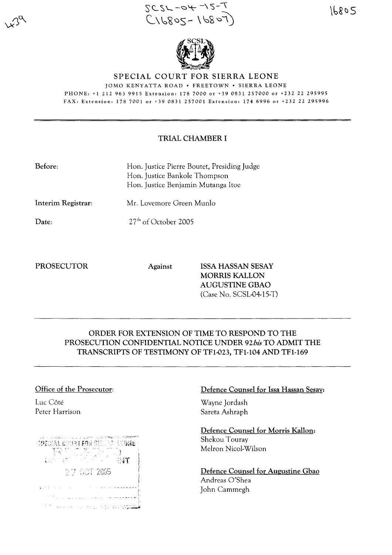$5C5L - 94 - 15-1$  $C \setminus C$   $C \setminus C$   $C \setminus C$   $C \setminus C$   $C \setminus C$ 

 $\mathscr{U}$ - $\mathscr{H}$ - $\mathscr{V}$ 

## SPECIAL COURT FOR SIERRA LEONE

JOMO KENYATTA ROAD· FREETOWN· SIERRA LEONE PHONE: +1 212 963 9915 Extension: 1787000 or +390831257000 or +232 22 295995 FAX: Extension: 178 7001 or +39 0831 257001 Extension: 174 6996 or +232 22 295996

## TRIAL CHAMBER I

| Hon. Justice Pierre Boutet, Presiding Judge<br>Hon. Justice Bankole Thompson<br>Hon. Justice Benjamin Mutanga Itoe |  |
|--------------------------------------------------------------------------------------------------------------------|--|
| Mr. Lovemore Green Munlo                                                                                           |  |
| $27th$ of October 2005                                                                                             |  |
|                                                                                                                    |  |

PROSECUTOR Against ISSA HASSAN SESAY MORRIS KALLON AUGUSTINE GBAO (Case No. SCSL-04-15-T)

# ORDER FOR EXTENSION OF TIME TO RESPOND TO THE PROSECUTION CONFIDENTIAL NOTICE UNDER *92bis* TO ADMIT THE TRANSCRIPTS OF TESTIMONY OF TFl-023, TFI-I04 AND TFl-169

## Office of the Prosecutor:

Luc Côté Peter Harrison

| <b>COLLECTION</b><br>SPICIAL COURT FOR SHIUGH (ND                                           |
|---------------------------------------------------------------------------------------------|
| $\mathbb{R}^{N\times N}$<br>- 53<br>a Col<br>$\mathbb{C}$ and $\mathbb{C}$ and $\mathbb{C}$ |
| 27 GCT 2005                                                                                 |
|                                                                                             |
|                                                                                             |
|                                                                                             |

## Defence Counsel for Issa Hassan Sesay:

Wayne Jordash Sareta Ashraph

Defence Counsel for Morris Kallon: Shekou Touray Melron Nicol-Wilson

Defence Counsel for Augustine Gbao Andreas O'Shea John Cammegh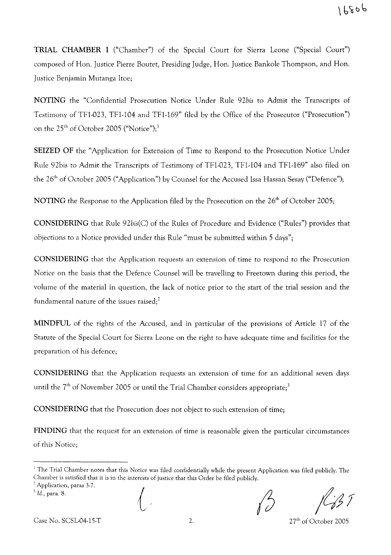**TRIAL CHAMBER I** ("Chamber") of the Special Court for Sierra Leone ("Special Court") composed of Hon. Justice Pierre Boutet, Presiding Judge, Hon. Justice Bankole Thompson, and Hon. Justice Benjamin Mutanga Itoe;

**NOTING** the "Confidential Prosecution Notice Under Rule *92bis* to Admit the Transcripts of Testimony of TF1-023, TF1-104 and TF1-169" filed by the Office of the Prosecutor ("Prosecution") on the 25<sup>th</sup> of October 2005 ("Notice");<sup>1</sup>

**SEIZED OF** the "Application for Extension of Time to Respond to the Prosecution Notice Under Rule 92bis to Admit the Transcripts of Testimony of TF1-023, TF1-104 and TFl-169" also filed on the 26<sup>th</sup> of October 2005 ("Application") by Counsel for the Accused Issa Hassan Sesay ("Defence");

**NOTING** the Response to the Application filed by the Prosecution on the 26<sup>th</sup> of October 2005;

**CONSIDERING** that Rule *92bis(C)* of the Rules of Procedure and Evidence ("Rules") provides that objections to a Notice provided under this Rule "must be submitted within 5 days";

**CONSIDERING** that the Application requests an extension of time to respond to the Prosecution Notice on the basis that the Defence Counsel will be travelling to Freetown during this period, the volume of the material in question, the lack of notice prior to the start of the trial session and the fundamental nature of the issues raised;<sup>2</sup>

**MINDFUL** of the rights of the Accused, and in particular of the provisions of Article 17 of the Statute of the Special Court for Sierra Leone on the right to have adequate time and facilities for the preparation of his defence;

**CONSIDERING** that the Application requests an extension of time for an additional seven days until the  $7<sup>th</sup>$  of November 2005 or until the Trial Chamber considers appropriate;<sup>3</sup>

**CONSIDERING** that the Prosecution does not object to such extension of time;

**FINDING** that the request for an extension of time is reasonable given the particular circumstances of this Noticc;

*3* Id., para. 8.

 $\bigg\{$ 

Case No. SCSL-04-15-T

2.  $27<sup>th</sup>$  of October 2005

 $<sup>1</sup>$  The Trial Chamber notes that this Notice was filed confidentially while the present Application was filed publicly. The</sup> Chamber is satisfied that it is in the interests of justice that this Order be filed publicly.

<sup>&</sup>lt;sup>2</sup> Application, paras 3-7.